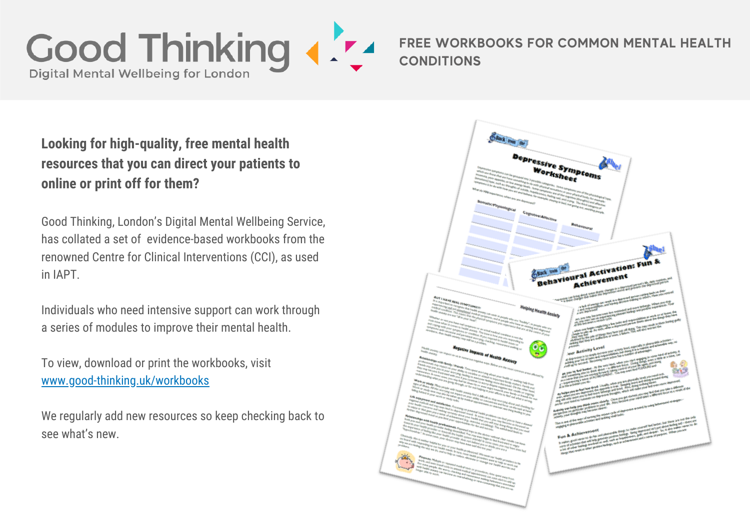

## **FREE WORKBOOKS FOR COMMON MENTAL HEALTH CONDITIONS**

## **Looking for high-quality, free mental health resources that you can direct your patients to online or print off for them?**

Good Thinking, London's Digital Mental Wellbeing Service, has collated a set of evidence-based workbooks from the renowned Centre for Clinical Interventions (CCI), as used in IAPT.

Individuals who need intensive support can work through a series of modules to improve their mental health.

To view, download or print the workbooks, visit [www.good-thinking.uk/workbooks](http://www.good-thinking.uk/workbooks)

We regularly add new resources so keep checking back to see what's new.